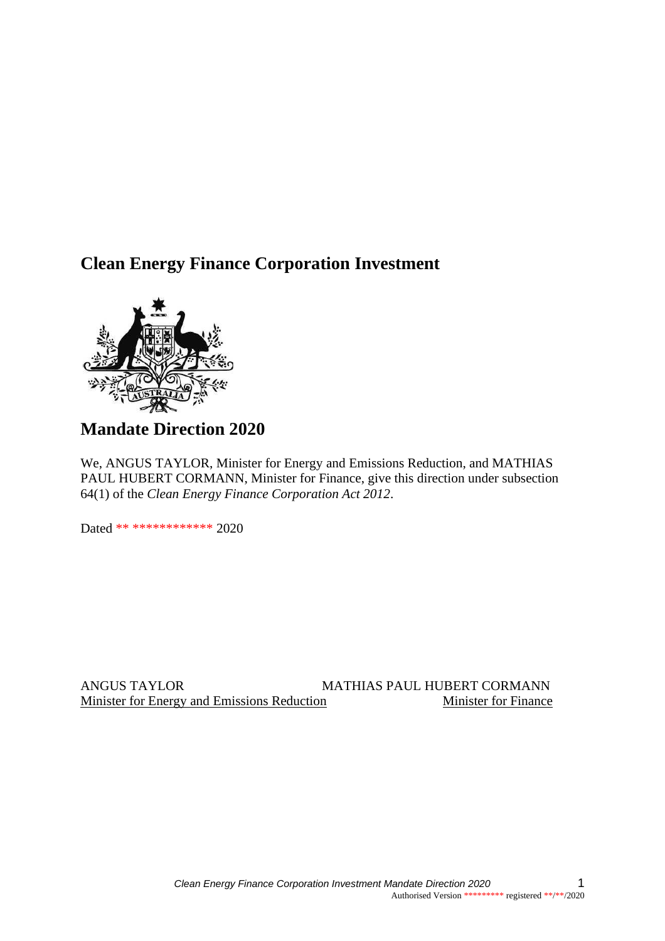## **Clean Energy Finance Corporation Investment**



# **Mandate Direction 2020**

We, ANGUS TAYLOR, Minister for Energy and Emissions Reduction, and MATHIAS PAUL HUBERT CORMANN, Minister for Finance, give this direction under subsection 64(1) of the *Clean Energy Finance Corporation Act 2012*.

Dated \*\* \*\*\*\*\*\*\*\*\*\*\*\* 2020

ANGUS TAYLOR MATHIAS PAUL HUBERT CORMANN Minister for Energy and Emissions Reduction Minister for Finance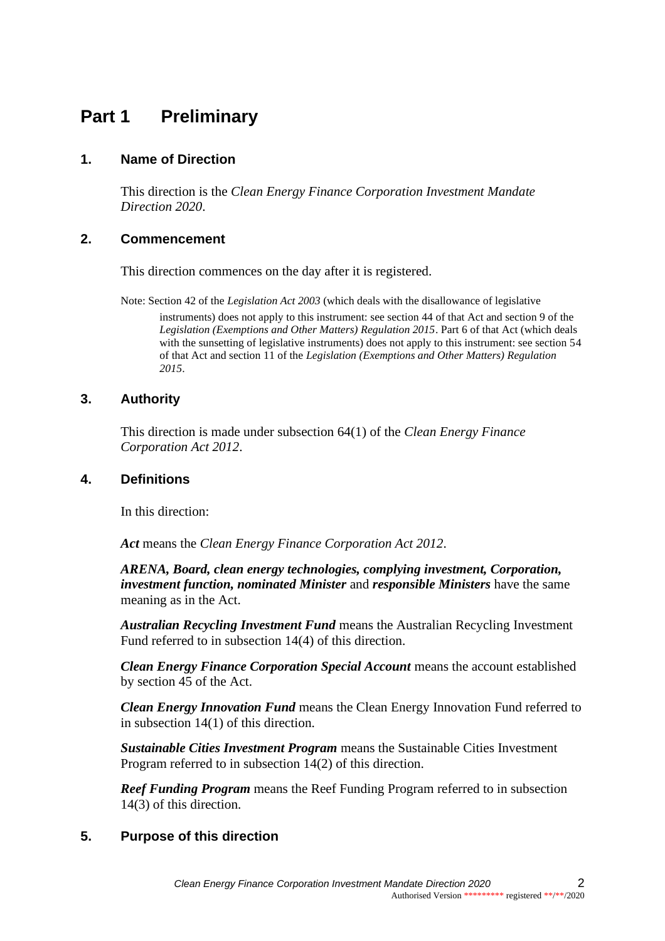# **Part 1 Preliminary**

## **1. Name of Direction**

This direction is the *Clean Energy Finance Corporation Investment Mandate Direction 2020*.

## **2. Commencement**

This direction commences on the day after it is registered.

Note: Section 42 of the *Legislation Act 2003* (which deals with the disallowance of legislative instruments) does not apply to this instrument: see section 44 of that Act and section 9 of the *Legislation (Exemptions and Other Matters) Regulation 2015*. Part 6 of that Act (which deals with the sunsetting of legislative instruments) does not apply to this instrument: see section 54 of that Act and section 11 of the *Legislation (Exemptions and Other Matters) Regulation 2015*.

## **3. Authority**

This direction is made under subsection 64(1) of the *Clean Energy Finance Corporation Act 2012*.

## **4. Definitions**

In this direction:

*Act* means the *Clean Energy Finance Corporation Act 2012*.

*ARENA, Board, clean energy technologies, complying investment, Corporation, investment function, nominated Minister* and *responsible Ministers* have the same meaning as in the Act.

*Australian Recycling Investment Fund* means the Australian Recycling Investment Fund referred to in subsection 14(4) of this direction.

*Clean Energy Finance Corporation Special Account* means the account established by section 45 of the Act.

*Clean Energy Innovation Fund* means the Clean Energy Innovation Fund referred to in subsection 14(1) of this direction.

*Sustainable Cities Investment Program* means the Sustainable Cities Investment Program referred to in subsection 14(2) of this direction.

*Reef Funding Program* means the Reef Funding Program referred to in subsection 14(3) of this direction.

## **5. Purpose of this direction**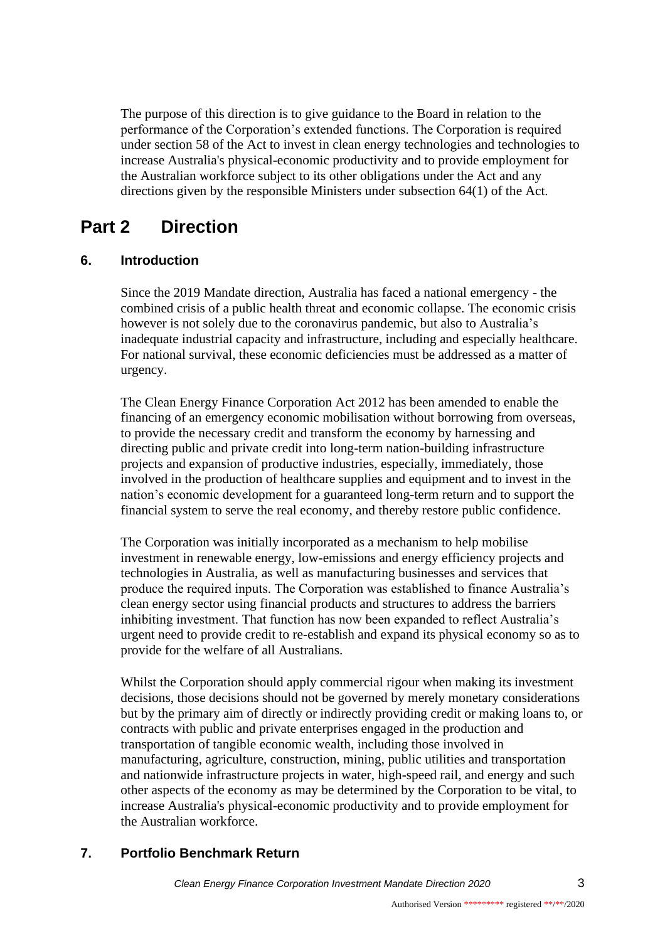The purpose of this direction is to give guidance to the Board in relation to the performance of the Corporation's extended functions. The Corporation is required under section 58 of the Act to invest in clean energy technologies and technologies to increase Australia's physical-economic productivity and to provide employment for the Australian workforce subject to its other obligations under the Act and any directions given by the responsible Ministers under subsection 64(1) of the Act.

# **Part 2 Direction**

## **6. Introduction**

Since the 2019 Mandate direction, Australia has faced a national emergency - the combined crisis of a public health threat and economic collapse. The economic crisis however is not solely due to the coronavirus pandemic, but also to Australia's inadequate industrial capacity and infrastructure, including and especially healthcare. For national survival, these economic deficiencies must be addressed as a matter of urgency.

The Clean Energy Finance Corporation Act 2012 has been amended to enable the financing of an emergency economic mobilisation without borrowing from overseas, to provide the necessary credit and transform the economy by harnessing and directing public and private credit into long-term nation-building infrastructure projects and expansion of productive industries, especially, immediately, those involved in the production of healthcare supplies and equipment and to invest in the nation's economic development for a guaranteed long-term return and to support the financial system to serve the real economy, and thereby restore public confidence.

The Corporation was initially incorporated as a mechanism to help mobilise investment in renewable energy, low-emissions and energy efficiency projects and technologies in Australia, as well as manufacturing businesses and services that produce the required inputs. The Corporation was established to finance Australia's clean energy sector using financial products and structures to address the barriers inhibiting investment. That function has now been expanded to reflect Australia's urgent need to provide credit to re-establish and expand its physical economy so as to provide for the welfare of all Australians.

Whilst the Corporation should apply commercial rigour when making its investment decisions, those decisions should not be governed by merely monetary considerations but by the primary aim of directly or indirectly providing credit or making loans to, or contracts with public and private enterprises engaged in the production and transportation of tangible economic wealth, including those involved in manufacturing, agriculture, construction, mining, public utilities and transportation and nationwide infrastructure projects in water, high-speed rail, and energy and such other aspects of the economy as may be determined by the Corporation to be vital, to increase Australia's physical-economic productivity and to provide employment for the Australian workforce.

## **7. Portfolio Benchmark Return**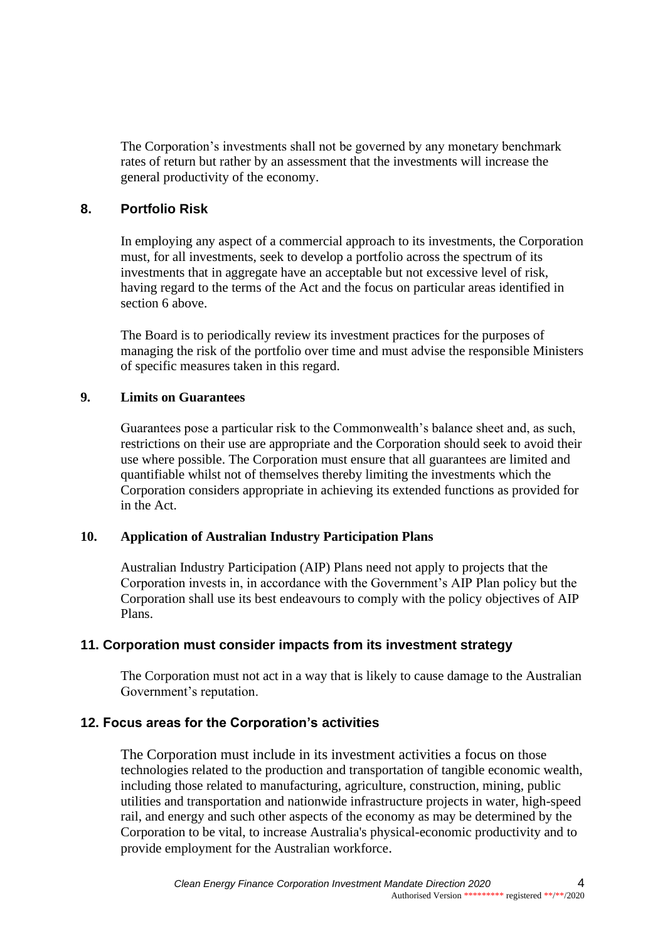The Corporation's investments shall not be governed by any monetary benchmark rates of return but rather by an assessment that the investments will increase the general productivity of the economy.

## **8. Portfolio Risk**

In employing any aspect of a commercial approach to its investments, the Corporation must, for all investments, seek to develop a portfolio across the spectrum of its investments that in aggregate have an acceptable but not excessive level of risk, having regard to the terms of the Act and the focus on particular areas identified in section 6 above.

The Board is to periodically review its investment practices for the purposes of managing the risk of the portfolio over time and must advise the responsible Ministers of specific measures taken in this regard.

#### **9. Limits on Guarantees**

Guarantees pose a particular risk to the Commonwealth's balance sheet and, as such, restrictions on their use are appropriate and the Corporation should seek to avoid their use where possible. The Corporation must ensure that all guarantees are limited and quantifiable whilst not of themselves thereby limiting the investments which the Corporation considers appropriate in achieving its extended functions as provided for in the Act.

## **10. Application of Australian Industry Participation Plans**

Australian Industry Participation (AIP) Plans need not apply to projects that the Corporation invests in, in accordance with the Government's AIP Plan policy but the Corporation shall use its best endeavours to comply with the policy objectives of AIP Plans.

## **11. Corporation must consider impacts from its investment strategy**

The Corporation must not act in a way that is likely to cause damage to the Australian Government's reputation.

## **12. Focus areas for the Corporation's activities**

The Corporation must include in its investment activities a focus on those technologies related to the production and transportation of tangible economic wealth, including those related to manufacturing, agriculture, construction, mining, public utilities and transportation and nationwide infrastructure projects in water, high-speed rail, and energy and such other aspects of the economy as may be determined by the Corporation to be vital, to increase Australia's physical-economic productivity and to provide employment for the Australian workforce.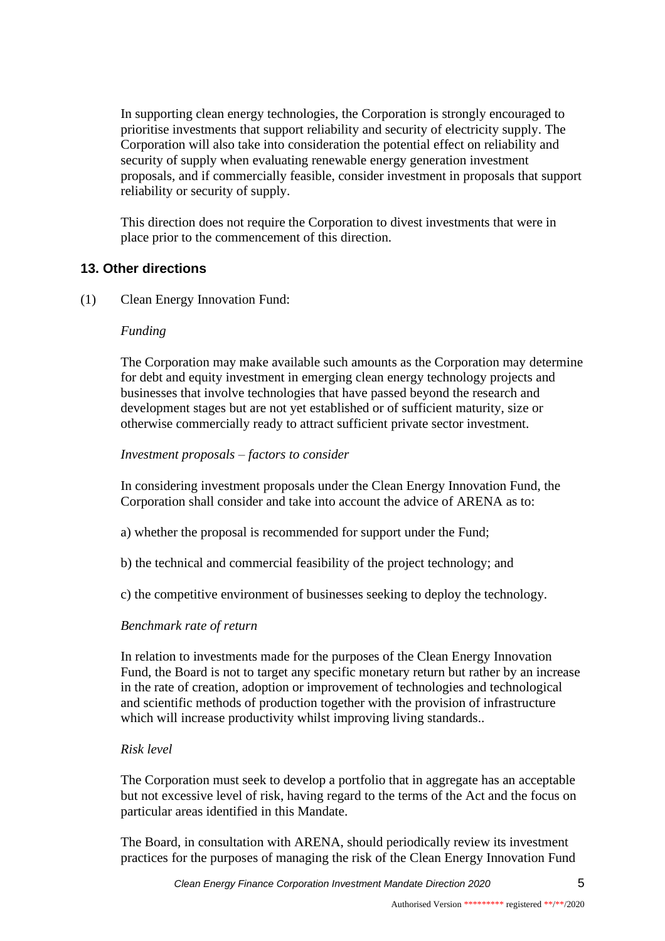In supporting clean energy technologies, the Corporation is strongly encouraged to prioritise investments that support reliability and security of electricity supply. The Corporation will also take into consideration the potential effect on reliability and security of supply when evaluating renewable energy generation investment proposals, and if commercially feasible, consider investment in proposals that support reliability or security of supply.

This direction does not require the Corporation to divest investments that were in place prior to the commencement of this direction.

## **13. Other directions**

(1) Clean Energy Innovation Fund:

#### *Funding*

The Corporation may make available such amounts as the Corporation may determine for debt and equity investment in emerging clean energy technology projects and businesses that involve technologies that have passed beyond the research and development stages but are not yet established or of sufficient maturity, size or otherwise commercially ready to attract sufficient private sector investment.

#### *Investment proposals – factors to consider*

In considering investment proposals under the Clean Energy Innovation Fund, the Corporation shall consider and take into account the advice of ARENA as to:

- a) whether the proposal is recommended for support under the Fund;
- b) the technical and commercial feasibility of the project technology; and
- c) the competitive environment of businesses seeking to deploy the technology.

## *Benchmark rate of return*

In relation to investments made for the purposes of the Clean Energy Innovation Fund, the Board is not to target any specific monetary return but rather by an increase in the rate of creation, adoption or improvement of technologies and technological and scientific methods of production together with the provision of infrastructure which will increase productivity whilst improving living standards..

#### *Risk level*

The Corporation must seek to develop a portfolio that in aggregate has an acceptable but not excessive level of risk, having regard to the terms of the Act and the focus on particular areas identified in this Mandate.

The Board, in consultation with ARENA, should periodically review its investment practices for the purposes of managing the risk of the Clean Energy Innovation Fund